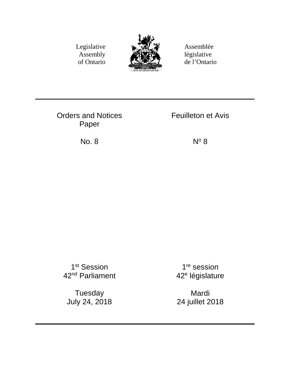Legislative Assembly of Ontario



Assemblée législative de l'Ontario

Orders and Notices Paper

Feuilleton et Avis

No.  $8 \qquad N^{\circ} 8$ 

1st Session 42nd Parliament

Tuesday July 24, 2018

1<sup>re</sup> session 42e législature

Mardi 24 juillet 2018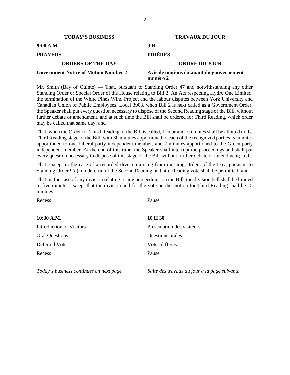| <b>TODAY'S BUSINESS</b>                     | <b>TRAVAUX DU JOUR</b>                              |
|---------------------------------------------|-----------------------------------------------------|
| 9:00 A.M.                                   | 9 H                                                 |
| <b>PRAYERS</b>                              | <b>PRIÈRES</b>                                      |
| <b>ORDERS OF THE DAY</b>                    | <b>ORDRE DU JOUR</b>                                |
| <b>Government Notice of Motion Number 2</b> | Avis de motions émanant du gouvernement<br>numéro 2 |

Mr. Smith (Bay of Quinte) — That, pursuant to Standing Order 47 and notwithstanding any other Standing Order or Special Order of the House relating to Bill 2, An Act respecting Hydro One Limited, the termination of the White Pines Wind Project and the labour disputes between York University and Canadian Union of Public Employees, Local 3903, when Bill 2 is next called as a Government Order, the Speaker shall put every question necessary to dispose of the Second Reading stage of the Bill, without further debate or amendment, and at such time the Bill shall be ordered for Third Reading, which order may be called that same day; and

That, when the Order for Third Reading of the Bill is called, 1 hour and 7 minutes shall be allotted to the Third Reading stage of the Bill, with 30 minutes apportioned to each of the recognized parties, 5 minutes apportioned to one Liberal party independent member, and 2 minutes apportioned to the Green party independent member. At the end of this time, the Speaker shall interrupt the proceedings and shall put every question necessary to dispose of this stage of the Bill without further debate or amendment; and

That, except in the case of a recorded division arising from morning Orders of the Day, pursuant to Standing Order 9(c), no deferral of the Second Reading or Third Reading vote shall be permitted; and

That, in the case of any division relating to any proceedings on the Bill, the division bell shall be limited to five minutes, except that the division bell for the vote on the motion for Third Reading shall be 15 minutes.

| Recess                          | Pause                      |  |
|---------------------------------|----------------------------|--|
| 10:30 A.M.                      | 10 H 30                    |  |
| <b>Introduction of Visitors</b> | Présentation des visiteurs |  |
| <b>Oral Questions</b>           | Questions orales           |  |
| Deferred Votes                  | Votes différés             |  |
| Recess                          | Pause                      |  |
|                                 |                            |  |

\_\_\_\_\_\_\_\_\_\_\_\_

*Today's business continues on next page Suite des travaux du jour à la page suivante*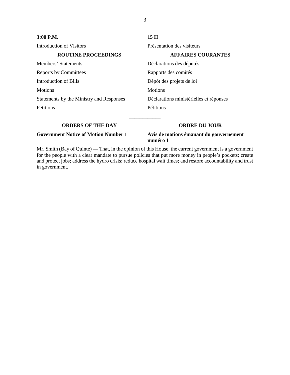| $3:00$ P.M.                                 | 15H                                                 |
|---------------------------------------------|-----------------------------------------------------|
| Introduction of Visitors                    | Présentation des visiteurs                          |
| <b>ROUTINE PROCEEDINGS</b>                  | <b>AFFAIRES COURANTES</b>                           |
| Members' Statements                         | Déclarations des députés                            |
| <b>Reports by Committees</b>                | Rapports des comités                                |
| Introduction of Bills                       | Dépôt des projets de loi                            |
| <b>Motions</b>                              | <b>Motions</b>                                      |
| Statements by the Ministry and Responses    | Déclarations ministérielles et réponses             |
| <b>Petitions</b>                            | Pétitions                                           |
| <b>ORDERS OF THE DAY</b>                    | <b>ORDRE DU JOUR</b>                                |
| <b>Government Notice of Motion Number 1</b> | Avis de motions émanant du gouvernement<br>numéro 1 |

Mr. Smith (Bay of Quinte) — That, in the opinion of this House, the current government is a government for the people with a clear mandate to pursue policies that put more money in people's pockets; create and protect jobs; address the hydro crisis; reduce hospital wait times; and restore accountability and trust in government.

\_\_\_\_\_\_\_\_\_\_\_\_\_\_\_\_\_\_\_\_\_\_\_\_\_\_\_\_\_\_\_\_\_\_\_\_\_\_\_\_\_\_\_\_\_\_\_\_\_\_\_\_\_\_\_\_\_\_\_\_\_\_\_\_\_\_\_\_\_\_\_\_\_\_\_\_\_\_\_\_\_\_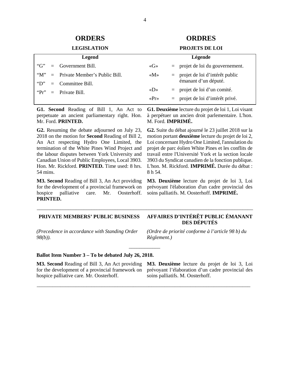# **ORDERS ORDRES**

#### **LEGISLATION PROJETS DE LOI**

#### **Legend** "G" = Government Bill. " $M$ " = Private Member's Public Bill. "D" = Committee Bill. " $Pr" = Private Bill$ . **Légende** «G» = projet de loi du gouvernement. «M» = projet de loi d'intérêt public émanant d'un député.  $\langle \text{AD} \rangle$  = projet de loi d'un comité. «Pr» = projet de loi d'intérêt privé.

\_\_\_\_\_\_\_\_\_\_\_\_\_\_\_\_\_\_\_\_\_\_\_\_\_\_\_\_\_\_\_\_\_\_\_\_\_\_\_\_\_\_\_\_\_\_\_\_\_\_\_\_\_\_\_\_\_\_\_\_\_\_\_\_\_\_\_\_\_\_\_\_\_\_\_\_\_\_\_\_\_\_\_

\_\_\_\_\_\_\_\_\_\_\_\_

\_\_\_\_\_\_\_\_\_\_\_\_\_\_\_\_\_\_\_\_\_\_\_\_\_\_\_\_\_\_\_\_\_\_\_\_\_\_\_\_\_\_\_\_\_\_\_\_\_\_\_\_\_\_\_\_\_\_\_\_\_\_\_\_\_\_\_\_\_\_\_\_\_\_\_\_\_\_\_\_\_\_

**G1. Second** Reading of Bill 1, An Act to perpetuate an ancient parliamentary right. Hon. Mr. Ford. **PRINTED.** 

**G2.** Resuming the debate adjourned on July 23, 2018 on the motion for **Second** Reading of Bill 2, An Act respecting Hydro One Limited, the termination of the White Pines Wind Project and the labour disputes between York University and Canadian Union of Public Employees, Local 3903. Hon. Mr. Rickford. **PRINTED.** Time used: 8 hrs. 54 mins.

**M3. Second** Reading of Bill 3, An Act providing for the development of a provincial framework on hospice palliative care. Mr. Oosterhoff. **PRINTED.** 

**G1. Deuxième** lecture du projet de loi 1, Loi visant à perpétuer un ancien droit parlementaire. L'hon. M. Ford. **IMPRIMÉ.** 

**G2.** Suite du débat ajourné le 23 juillet 2018 sur la motion portant **deuxième** lecture du projet de loi 2, Loi concernant Hydro One Limited, l'annulation du projet de parc éolien White Pines et les conflits de travail entre l'Université York et la section locale 3903 du Syndicat canadien de la fonction publique. L'hon. M. Rickford. **IMPRIMÉ.** Durée du débat : 8 h 54.

**M3. Deuxième** lecture du projet de loi 3, Loi prévoyant l'élaboration d'un cadre provincial des soins palliatifs. M. Oosterhoff. **IMPRIMÉ.** 

## **PRIVATE MEMBERS' PUBLIC BUSINESS AFFAIRES D'INTÉRÊT PUBLIC ÉMANANT**

*(Precedence in accordance with Standing Order 98(b)).*

*(Ordre de priorité conforme à l'article 98 b) du Règlement.)*

### **Ballot Item Number 3 – To be debated July 26, 2018.**

**M3. Second** Reading of Bill 3, An Act providing for the development of a provincial framework on hospice palliative care. Mr. Oosterhoff.

**M3. Deuxième** lecture du projet de loi 3, Loi prévoyant l'élaboration d'un cadre provincial des soins palliatifs. M. Oosterhoff.

# **DES DÉPUTÉS**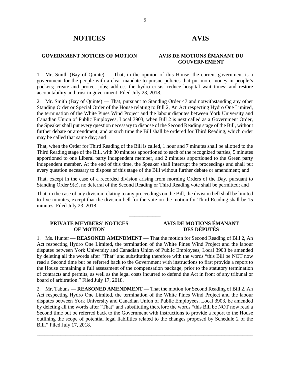# **NOTICES AVIS**

## **GOVERNMENT NOTICES OF MOTION AVIS DE MOTIONS ÉMANANT DU**

# **GOUVERNEMENT**

1. Mr. Smith (Bay of Quinte) — That, in the opinion of this House, the current government is a government for the people with a clear mandate to pursue policies that put more money in people's pockets; create and protect jobs; address the hydro crisis; reduce hospital wait times; and restore accountability and trust in government. Filed July 23, 2018.

2. Mr. Smith (Bay of Quinte) — That, pursuant to Standing Order 47 and notwithstanding any other Standing Order or Special Order of the House relating to Bill 2, An Act respecting Hydro One Limited, the termination of the White Pines Wind Project and the labour disputes between York University and Canadian Union of Public Employees, Local 3903, when Bill 2 is next called as a Government Order, the Speaker shall put every question necessary to dispose of the Second Reading stage of the Bill, without further debate or amendment, and at such time the Bill shall be ordered for Third Reading, which order may be called that same day; and

That, when the Order for Third Reading of the Bill is called, 1 hour and 7 minutes shall be allotted to the Third Reading stage of the Bill, with 30 minutes apportioned to each of the recognized parties, 5 minutes apportioned to one Liberal party independent member, and 2 minutes apportioned to the Green party independent member. At the end of this time, the Speaker shall interrupt the proceedings and shall put every question necessary to dispose of this stage of the Bill without further debate or amendment; and

That, except in the case of a recorded division arising from morning Orders of the Day, pursuant to Standing Order 9(c), no deferral of the Second Reading or Third Reading vote shall be permitted; and

That, in the case of any division relating to any proceedings on the Bill, the division bell shall be limited to five minutes, except that the division bell for the vote on the motion for Third Reading shall be 15 minutes. Filed July 23, 2018.

\_\_\_\_\_\_\_\_\_\_\_\_

### **PRIVATE MEMBERS' NOTICES OF MOTION**

## **AVIS DE MOTIONS ÉMANANT DES DÉPUTÉS**

1. Ms. Hunter — **REASONED AMENDMENT** — That the motion for Second Reading of Bill 2, An Act respecting Hydro One Limited, the termination of the White Pines Wind Project and the labour disputes between York University and Canadian Union of Public Employees, Local 3903 be amended by deleting all the words after "That" and substituting therefore with the words "this Bill be NOT now read a Second time but be referred back to the Government with instructions to first provide a report to the House containing a full assessment of the compensation package, prior to the statutory termination of contracts and permits, as well as the legal costs incurred to defend the Act in front of any tribunal or board of arbitration." Filed July 17, 2018.

2. Mr. Tabuns — **REASONED AMENDMENT** — That the motion for Second Reading of Bill 2, An Act respecting Hydro One Limited, the termination of the White Pines Wind Project and the labour disputes between York University and Canadian Union of Public Employees, Local 3903, be amended by deleting all the words after "That" and substituting therefore the words "this Bill be NOT now read a Second time but be referred back to the Government with instructions to provide a report to the House outlining the scope of potential legal liabilities related to the changes proposed by Schedule 2 of the Bill." Filed July 17, 2018.

\_\_\_\_\_\_\_\_\_\_\_\_\_\_\_\_\_\_\_\_\_\_\_\_\_\_\_\_\_\_\_\_\_\_\_\_\_\_\_\_\_\_\_\_\_\_\_\_\_\_\_\_\_\_\_\_\_\_\_\_\_\_\_\_\_\_\_\_\_\_\_\_\_\_\_\_\_\_\_\_\_\_\_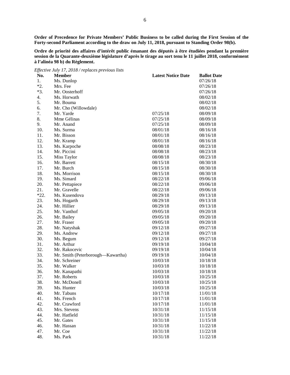**Order of Precedence for Private Members' Public Business to be called during the First Session of the Forty-second Parliament according to the draw on July 11, 2018, pursuant to Standing Order 98(b).**

**Ordre de priorité des affaires d'intérêt public émanant des députés à être étudiées pendant la première session de la Quarante-deuxième législature d'après le tirage au sort tenu le 11 juillet 2018, conformément à l'alinéa 98 b) du Règlement.**

|        | Effective July 17, 2018 / replaces previous lists |                           |                    |
|--------|---------------------------------------------------|---------------------------|--------------------|
| No.    | <b>Member</b>                                     | <b>Latest Notice Date</b> | <b>Ballot Date</b> |
| 1.     | Ms. Dunlop                                        |                           | 07/26/18           |
| $*2.$  | Mrs. Fee                                          |                           | 07/26/18           |
| $*3.$  | Mr. Oosterhoff                                    |                           | 07/26/18           |
| 4.     | Ms. Horwath                                       |                           | 08/02/18           |
| 5.     | Mr. Bouma                                         |                           | 08/02/18           |
| 6.     | Mr. Cho (Willowdale)                              |                           | 08/02/18           |
| 7.     | Mr. Yarde                                         | 07/25/18                  | 08/09/18           |
| 8.     | Mme Gélinas                                       | 07/25/18                  | 08/09/18           |
| 9.     | Mr. Anand                                         | 07/25/18                  | 08/09/18           |
| 10.    | Ms. Surma                                         | 08/01/18                  | 08/16/18           |
| 11.    | Mr. Bisson                                        | 08/01/18                  | 08/16/18           |
| 12.    | Mr. Kramp                                         | 08/01/18                  | 08/16/18           |
| 13.    | Ms. Karpoche                                      | 08/08/18                  | 08/23/18           |
| 14.    | Mr. Piccini                                       | 08/08/18                  | 08/23/18           |
| 15.    | Miss Taylor                                       | 08/08/18                  | 08/23/18           |
| 16.    | Mr. Barrett                                       | 08/15/18                  | 08/30/18           |
| 17.    | Mr. Burch                                         | 08/15/18                  | 08/30/18           |
| 18.    | Ms. Morrison                                      | 08/15/18                  | 08/30/18           |
| 19.    | Ms. Simard                                        | 08/22/18                  | 09/06/18           |
| 20.    | Mr. Pettapiece                                    | 08/22/18                  | 09/06/18           |
| 21.    | Mr. Gravelle                                      | 08/22/18                  | 09/06/18           |
| $*22.$ | Ms. Kusendova                                     | 08/29/18                  | 09/13/18           |
| 23.    | Ms. Hogarth                                       | 08/29/18                  | 09/13/18           |
| 24.    | Mr. Hillier                                       | 08/29/18                  | 09/13/18           |
| 25.    | Mr. Vanthof                                       | 09/05/18                  | 09/20/18           |
| 26.    | Mr. Bailey                                        | 09/05/18                  | 09/20/18           |
| 27.    | Mr. Fraser                                        | 09/05/18                  | 09/20/18           |
| 28.    | Mr. Natyshak                                      | 09/12/18                  | 09/27/18           |
| 29.    | Ms. Andrew                                        | 09/12/18                  | 09/27/18           |
| 30.    | Ms. Begum                                         | 09/12/18                  | 09/27/18           |
| 31.    | Mr. Arthur                                        | 09/19/18                  | 10/04/18           |
| 32.    | Mr. Rakocevic                                     | 09/19/18                  | 10/04/18           |
| 33.    | Mr. Smith (Peterborough-Kawartha)                 | 09/19/18                  | 10/04/18           |
| 34.    | Mr. Schreiner                                     | 10/03/18                  | 10/18/18           |
| 35.    | Mr. Walker                                        | 10/03/18                  | 10/18/18           |
| 36.    | Mr. Kanapathi                                     | 10/03/18                  | 10/18/18           |
| 37.    | Mr. Roberts                                       | 10/03/18                  | 10/25/18           |
| 38.    | Mr. McDonell                                      | 10/03/18                  | 10/25/18           |
| 39.    | Ms. Hunter                                        | 10/03/18                  | 10/25/18           |
| 40.    | Mr. Tabuns                                        | 10/17/18                  | 11/01/18           |
| 41.    | Ms. French                                        | 10/17/18                  | 11/01/18           |
| 42.    | Mr. Crawford                                      | 10/17/18                  | 11/01/18           |
| 43.    | Mrs. Stevens                                      | 10/31/18                  | 11/15/18           |
| 44.    | Mr. Hatfield                                      | 10/31/18                  | 11/15/18           |
| 45.    | Mr. Gates                                         | 10/31/18                  | 11/15/18           |
| 46.    | Mr. Hassan                                        | 10/31/18                  | 11/22/18           |
| 47.    | Mr. Coe                                           | 10/31/18                  | 11/22/18           |
| 48.    | Ms. Park                                          | 10/31/18                  | 11/22/18           |